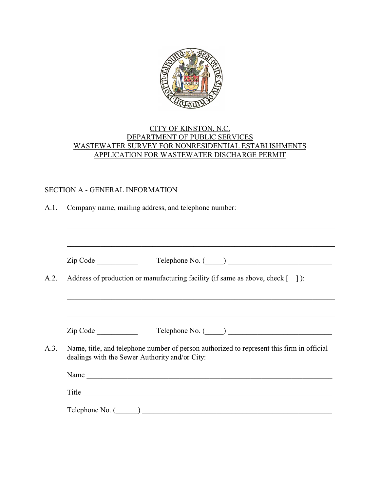

### CITY OF KINSTON, N.C. DEPARTMENT OF PUBLIC SERVICES WASTEWATER SURVEY FOR NONRESIDENTIAL ESTABLISHMENTS APPLICATION FOR WASTEWATER DISCHARGE PERMIT

### SECTION A - GENERAL INFORMATION

| A.1. |  | Company name, mailing address, and telephone number: |  |
|------|--|------------------------------------------------------|--|
|      |  |                                                      |  |

|          | Zip Code                                                                                                                                    |
|----------|---------------------------------------------------------------------------------------------------------------------------------------------|
|          | Address of production or manufacturing facility (if same as above, check [10]):                                                             |
|          |                                                                                                                                             |
| Zip Code | $\begin{tabular}{c} Telephone No. ( \hspace{1cm} \textcolor{red}{\textbf{2.6}} \end{tabular}$                                               |
|          | Name, title, and telephone number of person authorized to represent this firm in official<br>dealings with the Sewer Authority and/or City: |
|          | Name                                                                                                                                        |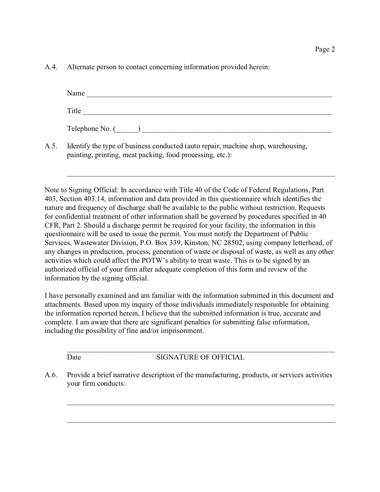A.4. Alternate person to contact concerning information provided herein:

| Name                        |  |
|-----------------------------|--|
| Title                       |  |
| Telephone No. $(\_\_\_\_\)$ |  |
|                             |  |

\_\_\_\_\_\_\_\_\_\_\_\_\_\_\_\_\_\_\_\_\_\_\_\_\_\_\_\_\_\_\_\_\_\_\_\_\_\_\_\_\_\_\_\_\_\_\_\_\_\_\_\_\_\_\_\_\_\_\_\_\_\_\_\_\_\_\_\_\_\_\_\_

A.5. Identify the type of business conducted (auto repair, machine shop, warehousing, painting, printing, meat packing, food processing, etc.):

Note to Signing Official: In accordance with Title 40 of the Code of Federal Regulations, Part 403, Section 403.14, information and data provided in this questionnaire which identifies the nature and frequency of discharge shall be available to the public without restriction. Requests for confidential treatment of other information shall be governed by procedures specified in 40 CFR, Part 2. Should a discharge permit be required for your facility, the information in this questionnaire will be used to issue the permit. You must notify the Department of Public Services, Wastewater Division, P.O. Box 339, Kinston, NC 28502, using company letterhead, of any changes in production, process, generation of waste or disposal of waste, as well as any other activities which could affect the POTW's ability to treat waste. This is to be signed by an authorized official of your firm after adequate completion of this form and review of the information by the signing official.

I have personally examined and am familiar with the information submitted in this document and attachments. Based upon my inquiry of those individuals immediately responsible for obtaining the information reported herein, I believe that the submitted information is true, accurate and complete. I am aware that there are significant penalties for submitting false information, including the possibility of fine and/or imprisonment.

\_\_\_\_\_\_\_\_\_\_\_\_\_\_\_\_\_\_\_\_\_\_\_\_\_\_\_\_\_\_\_\_\_\_\_\_\_\_\_\_\_\_\_\_\_\_\_\_\_\_\_\_\_\_\_\_\_\_\_\_\_\_\_\_\_\_\_\_\_\_\_\_ Date SIGNATURE OF OFFICIAL

\_\_\_\_\_\_\_\_\_\_\_\_\_\_\_\_\_\_\_\_\_\_\_\_\_\_\_\_\_\_\_\_\_\_\_\_\_\_\_\_\_\_\_\_\_\_\_\_\_\_\_\_\_\_\_\_\_\_\_\_\_\_\_\_\_\_\_\_\_\_\_\_

\_\_\_\_\_\_\_\_\_\_\_\_\_\_\_\_\_\_\_\_\_\_\_\_\_\_\_\_\_\_\_\_\_\_\_\_\_\_\_\_\_\_\_\_\_\_\_\_\_\_\_\_\_\_\_\_\_\_\_\_\_\_\_\_\_\_\_\_\_\_\_\_

A.6. Provide a brief narrative description of the manufacturing, products, or services activities your firm conducts: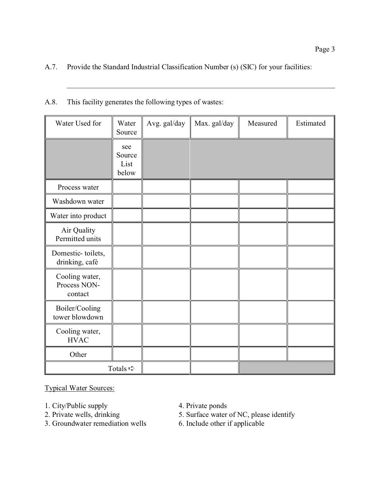## A.7. Provide the Standard Industrial Classification Number (s) (SIC) for your facilities:

| A.8. | This facility generates the following types of wastes: |  |  |
|------|--------------------------------------------------------|--|--|
|      |                                                        |  |  |

| Water Used for                            | Water<br>Source                | Avg. gal/day | Max. gal/day | Measured | Estimated |
|-------------------------------------------|--------------------------------|--------------|--------------|----------|-----------|
|                                           | see<br>Source<br>List<br>below |              |              |          |           |
| Process water                             |                                |              |              |          |           |
| Washdown water                            |                                |              |              |          |           |
| Water into product                        |                                |              |              |          |           |
| Air Quality<br>Permitted units            |                                |              |              |          |           |
| Domestic-toilets,<br>drinking, café       |                                |              |              |          |           |
| Cooling water,<br>Process NON-<br>contact |                                |              |              |          |           |
| Boiler/Cooling<br>tower blowdown          |                                |              |              |          |           |
| Cooling water,<br><b>HVAC</b>             |                                |              |              |          |           |
| Other                                     |                                |              |              |          |           |
|                                           | Totals $\Rightarrow$           |              |              |          |           |

Typical Water Sources:

- 
- 1. City/Public supply 4. Private ponds<br>
2. Private wells, drinking 5. Surface water
- 3. Groundwater remediation wells
- 
- 5. Surface water of NC, please identify<br>6. Include other if applicable
-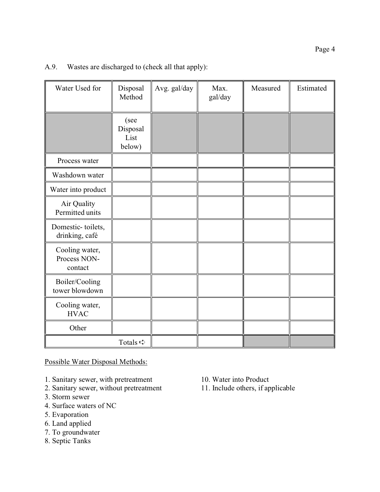| Water Used for                            | Disposal<br>Method                 | Avg. gal/day | Max.<br>gal/day | Measured | Estimated |
|-------------------------------------------|------------------------------------|--------------|-----------------|----------|-----------|
|                                           | (see<br>Disposal<br>List<br>below) |              |                 |          |           |
| Process water                             |                                    |              |                 |          |           |
| Washdown water                            |                                    |              |                 |          |           |
| Water into product                        |                                    |              |                 |          |           |
| Air Quality<br>Permitted units            |                                    |              |                 |          |           |
| Domestic-toilets,<br>drinking, café       |                                    |              |                 |          |           |
| Cooling water,<br>Process NON-<br>contact |                                    |              |                 |          |           |
| Boiler/Cooling<br>tower blowdown          |                                    |              |                 |          |           |
| Cooling water,<br><b>HVAC</b>             |                                    |              |                 |          |           |
| Other                                     |                                    |              |                 |          |           |
|                                           | Totals $\Rightarrow$               |              |                 |          |           |

## A.9. Wastes are discharged to (check all that apply):

Possible Water Disposal Methods:

- 
- 1. Sanitary sewer, with pretreatment 10. Water into Product<br>2. Sanitary sewer, without pretreatment 11. Include others, if applicable 2. Sanitary sewer, without pretreatment
- 3. Storm sewer
- 4. Surface waters of NC
- 5. Evaporation
- 6. Land applied
- 7. To groundwater
- 8. Septic Tanks
- 
-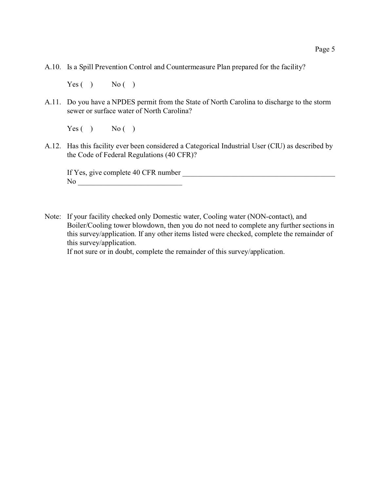A.10. Is a Spill Prevention Control and Countermeasure Plan prepared for the facility?

 $Yes( )$  No ()

A.11. Do you have a NPDES permit from the State of North Carolina to discharge to the storm sewer or surface water of North Carolina?

 $Yes( )$  No ()

A.12. Has this facility ever been considered a Categorical Industrial User (CIU) as described by the Code of Federal Regulations (40 CFR)?

If Yes, give complete 40 CFR number No \_\_\_\_\_\_\_\_\_\_\_\_\_\_\_\_\_\_\_\_\_\_\_\_\_\_\_\_

Note: If your facility checked only Domestic water, Cooling water (NON-contact), and Boiler/Cooling tower blowdown, then you do not need to complete any further sections in this survey/application. If any other items listed were checked, complete the remainder of this survey/application.

If not sure or in doubt, complete the remainder of this survey/application.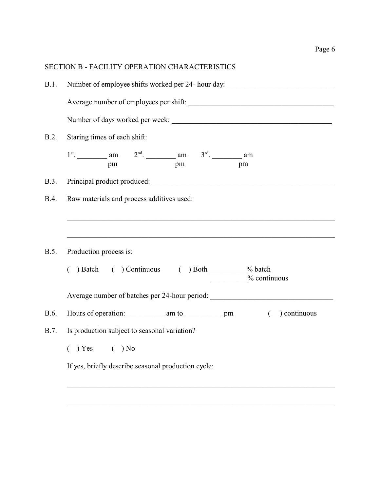|             | <b>SECTION B - FACILITY OPERATION CHARACTERISTICS</b>                             |  |  |  |  |  |  |
|-------------|-----------------------------------------------------------------------------------|--|--|--|--|--|--|
| B.1.        | Number of employee shifts worked per 24- hour day:                                |  |  |  |  |  |  |
|             |                                                                                   |  |  |  |  |  |  |
|             |                                                                                   |  |  |  |  |  |  |
| B.2.        | Staring times of each shift:                                                      |  |  |  |  |  |  |
|             | $1^{st}$ . am am $2^{nd}$ . am $3^{rd}$ . am pm am pm                             |  |  |  |  |  |  |
| <b>B.3.</b> |                                                                                   |  |  |  |  |  |  |
| <b>B.4.</b> | Raw materials and process additives used:                                         |  |  |  |  |  |  |
|             |                                                                                   |  |  |  |  |  |  |
| <b>B.5.</b> | Production process is:                                                            |  |  |  |  |  |  |
|             | ( ) Batch ( ) Continuous ( ) Both ________% batch<br>$%$ continuous               |  |  |  |  |  |  |
|             | Average number of batches per 24-hour period: ___________________________________ |  |  |  |  |  |  |
| B.6.        | Hours of operation: am to home pm<br>) continuous<br>$\left($                     |  |  |  |  |  |  |
| <b>B.7.</b> | Is production subject to seasonal variation?                                      |  |  |  |  |  |  |
|             | $( )$ Yes $( )$ No                                                                |  |  |  |  |  |  |
|             | If yes, briefly describe seasonal production cycle:                               |  |  |  |  |  |  |

\_\_\_\_\_\_\_\_\_\_\_\_\_\_\_\_\_\_\_\_\_\_\_\_\_\_\_\_\_\_\_\_\_\_\_\_\_\_\_\_\_\_\_\_\_\_\_\_\_\_\_\_\_\_\_\_\_\_\_\_\_\_\_\_\_\_\_\_\_\_\_\_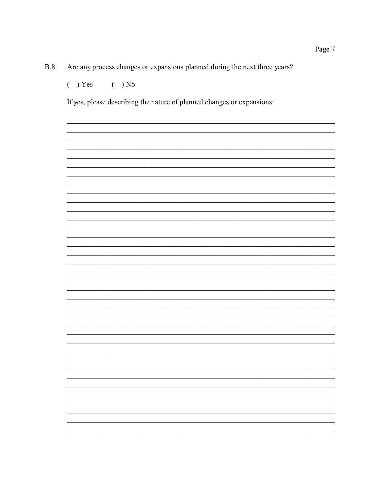Are any process changes or expansions planned during the next three years? **B.8.** 

 $( ) Yes$  $( )$  No

If yes, please describing the nature of planned changes or expansions: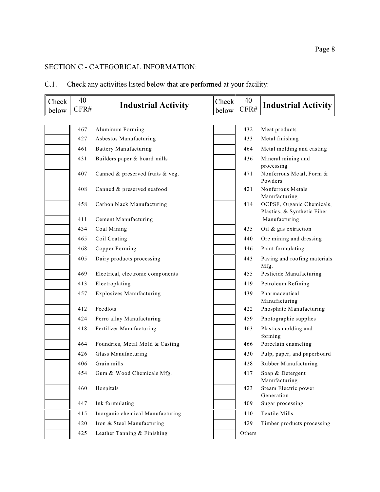## SECTION C - CATEGORICAL INFORMATION:

| C.1. |  |  | Check any activities listed below that are performed at your facility: |  |
|------|--|--|------------------------------------------------------------------------|--|
|      |  |  |                                                                        |  |

| Check<br>below | 40<br>CFR# | <b>Industrial Activity</b>        | Check<br>below | 40<br>CFR# | <b>Industrial Activity</b>                               |
|----------------|------------|-----------------------------------|----------------|------------|----------------------------------------------------------|
|                |            |                                   |                |            |                                                          |
|                | 467        | Aluminum Forming                  |                | 432        | Meat products                                            |
|                | 427        | Asbestos Manufacturing            |                | 433        | Metal finishing                                          |
|                | 461        | <b>Battery Manufacturing</b>      |                | 464        | Metal molding and casting                                |
|                | 431        | Builders paper & board mills      |                | 436        | Mineral mining and<br>processing                         |
|                | 407        | Canned & preserved fruits & veg.  |                | 471        | Nonferrous Metal, Form &<br>Powders                      |
|                | 408        | Canned & preserved seafood        |                | 421        | Nonferrous Metals<br>Manufacturing                       |
|                | 458        | Carbon black Manufacturing        |                | 414        | OCPSF, Organic Chemicals,<br>Plastics, & Synthetic Fiber |
|                | 411        | Cement Manufacturing              |                |            | Manufacturing                                            |
|                | 434        | Coal Mining                       |                | 435        | Oil & gas extraction                                     |
|                | 465        | Coil Coating                      |                | 440        | Ore mining and dressing                                  |
|                | 468        | Copper Forming                    |                | 446        | Paint formulating                                        |
|                | 405        | Dairy products processing         |                | 443        | Paving and roofing materials<br>Mfg.                     |
|                | 469        | Electrical, electronic components |                | 455        | Pesticide Manufacturing                                  |
|                | 413        | Electroplating                    |                | 419        | Petroleum Refining                                       |
|                | 457        | <b>Explosives Manufacturing</b>   |                | 439        | Pharmaceutical<br>Manufacturing                          |
|                | 412        | Feedlots                          |                | 422        | Phosphate Manufacturing                                  |
|                | 424        | Ferro allay Manufacturing         |                | 459        | Photographic supplies                                    |
|                | 418        | Fertilizer Manufacturing          |                | 463        | Plastics molding and<br>forming                          |
|                | 464        | Foundries, Metal Mold & Casting   |                | 466        | Porcelain enameling                                      |
|                | 426        | Glass Manufacturing               |                | 430        | Pulp, paper, and paperboard                              |
|                | 406        | Grain mills                       |                | 428        | Rubber Manufacturing                                     |
|                | 454        | Gum & Wood Chemicals Mfg.         |                | 417        | Soap & Detergent<br>Manufacturing                        |
|                | 460        | Hospitals                         |                | 423        | Steam Electric power<br>Generation                       |
|                | 447        | Ink formulating                   |                | 409        | Sugar processing                                         |
|                | 415        | Inorganic chemical Manufacturing  |                | 410        | Textile Mills                                            |
|                | 420        | Iron & Steel Manufacturing        |                | 429        | Timber products processing                               |
|                | 425        | Leather Tanning & Finishing       |                | Others     |                                                          |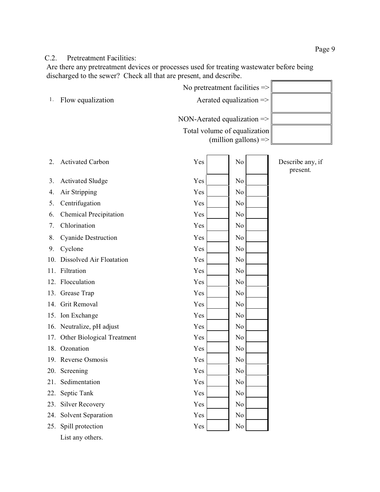### C.2. Pretreatment Facilities:

Are there any pretreatment devices or processes used for treating wastewater before being discharged to the sewer? Check all that are present, and describe. J.

|     |                                | No pretreatment facilities $\Rightarrow$ |                              |
|-----|--------------------------------|------------------------------------------|------------------------------|
| 1.  | Flow equalization              | Aerated equalization $\Rightarrow$       |                              |
|     |                                | NON-Aerated equalization $\Rightarrow$   |                              |
|     |                                | Total volume of equalization             |                              |
|     |                                | (million gallons) $\Rightarrow$          |                              |
|     |                                |                                          |                              |
| 2.  | <b>Activated Carbon</b>        | Yes<br>No                                | Describe any, if<br>present. |
| 3.  | <b>Activated Sludge</b>        | Yes<br>N <sub>0</sub>                    |                              |
| 4.  | Air Stripping                  | Yes<br>N <sub>0</sub>                    |                              |
| 5.  | Centrifugation                 | Yes<br>N <sub>0</sub>                    |                              |
| 6.  | <b>Chemical Precipitation</b>  | Yes<br>N <sub>0</sub>                    |                              |
| 7.  | Chlorination                   | Yes<br>N <sub>0</sub>                    |                              |
| 8.  | <b>Cyanide Destruction</b>     | Yes<br>N <sub>0</sub>                    |                              |
| 9.  | Cyclone                        | Yes<br>N <sub>0</sub>                    |                              |
|     | 10. Dissolved Air Floatation   | Yes<br>N <sub>0</sub>                    |                              |
|     | 11. Filtration                 | Yes<br>N <sub>0</sub>                    |                              |
|     | 12. Flocculation               | Yes<br>N <sub>0</sub>                    |                              |
|     | 13. Grease Trap                | Yes<br>N <sub>0</sub>                    |                              |
|     | 14. Grit Removal               | Yes<br>N <sub>0</sub>                    |                              |
|     | 15. Ion Exchange               | Yes<br>N <sub>0</sub>                    |                              |
|     | 16. Neutralize, pH adjust      | Yes<br>No                                |                              |
|     | 17. Other Biological Treatment | Yes<br>N <sub>0</sub>                    |                              |
|     | 18. Ozonation                  | Yes<br>N <sub>0</sub>                    |                              |
|     | 19. Reverse Osmosis            | Yes<br>No                                |                              |
|     | 20. Screening                  | Yes<br>No                                |                              |
| 21. | Sedimentation                  | Yes<br>No                                |                              |
| 22. | Septic Tank                    | Yes<br>No                                |                              |
| 23. | <b>Silver Recovery</b>         | Yes<br>No                                |                              |
| 24. | Solvent Separation             | Yes<br>No                                |                              |
| 25. | Spill protection               | Yes<br>No                                |                              |
|     | List any others.               |                                          |                              |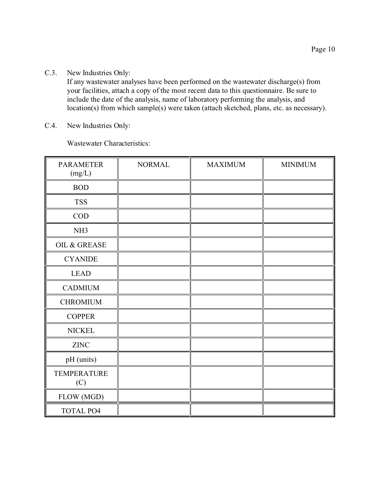C.3. New Industries Only:

If any wastewater analyses have been performed on the wastewater discharge(s) from your facilities, attach a copy of the most recent data to this questionnaire. Be sure to include the date of the analysis, name of laboratory performing the analysis, and location(s) from which sample(s) were taken (attach sketched, plans, etc. as necessary).

C.4. New Industries Only:

Wastewater Characteristics:

| <b>PARAMETER</b><br>(mg/L) | <b>NORMAL</b> | <b>MAXIMUM</b> | <b>MINIMUM</b> |
|----------------------------|---------------|----------------|----------------|
| <b>BOD</b>                 |               |                |                |
| <b>TSS</b>                 |               |                |                |
| <b>COD</b>                 |               |                |                |
| NH <sub>3</sub>            |               |                |                |
| OIL & GREASE               |               |                |                |
| <b>CYANIDE</b>             |               |                |                |
| <b>LEAD</b>                |               |                |                |
| <b>CADMIUM</b>             |               |                |                |
| <b>CHROMIUM</b>            |               |                |                |
| <b>COPPER</b>              |               |                |                |
| <b>NICKEL</b>              |               |                |                |
| <b>ZINC</b>                |               |                |                |
| pH (units)                 |               |                |                |
| <b>TEMPERATURE</b><br>(C)  |               |                |                |
| FLOW (MGD)                 |               |                |                |
| TOTAL PO4                  |               |                |                |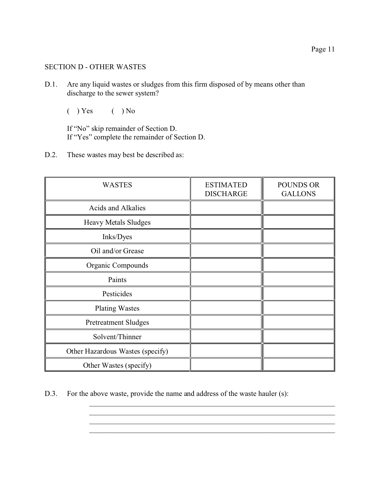### SECTION D - OTHER WASTES

- D.1. Are any liquid wastes or sludges from this firm disposed of by means other than discharge to the sewer system?
	- $( )$  Yes  $( )$  No

If "No" skip remainder of Section D. If "Yes" complete the remainder of Section D.

D.2. These wastes may best be described as:

| <b>WASTES</b>                    | <b>ESTIMATED</b><br><b>DISCHARGE</b> | <b>POUNDS OR</b><br><b>GALLONS</b> |
|----------------------------------|--------------------------------------|------------------------------------|
| Acids and Alkalies               |                                      |                                    |
| Heavy Metals Sludges             |                                      |                                    |
| Inks/Dyes                        |                                      |                                    |
| Oil and/or Grease                |                                      |                                    |
| Organic Compounds                |                                      |                                    |
| Paints                           |                                      |                                    |
| Pesticides                       |                                      |                                    |
| <b>Plating Wastes</b>            |                                      |                                    |
| <b>Pretreatment Sludges</b>      |                                      |                                    |
| Solvent/Thinner                  |                                      |                                    |
| Other Hazardous Wastes (specify) |                                      |                                    |
| Other Wastes (specify)           |                                      |                                    |

D.3. For the above waste, provide the name and address of the waste hauler (s):

\_\_\_\_\_\_\_\_\_\_\_\_\_\_\_\_\_\_\_\_\_\_\_\_\_\_\_\_\_\_\_\_\_\_\_\_\_\_\_\_\_\_\_\_\_\_\_\_\_\_\_\_\_\_\_\_\_\_\_\_\_\_\_\_\_\_ \_\_\_\_\_\_\_\_\_\_\_\_\_\_\_\_\_\_\_\_\_\_\_\_\_\_\_\_\_\_\_\_\_\_\_\_\_\_\_\_\_\_\_\_\_\_\_\_\_\_\_\_\_\_\_\_\_\_\_\_\_\_\_\_\_\_ \_\_\_\_\_\_\_\_\_\_\_\_\_\_\_\_\_\_\_\_\_\_\_\_\_\_\_\_\_\_\_\_\_\_\_\_\_\_\_\_\_\_\_\_\_\_\_\_\_\_\_\_\_\_\_\_\_\_\_\_\_\_\_\_\_\_ \_\_\_\_\_\_\_\_\_\_\_\_\_\_\_\_\_\_\_\_\_\_\_\_\_\_\_\_\_\_\_\_\_\_\_\_\_\_\_\_\_\_\_\_\_\_\_\_\_\_\_\_\_\_\_\_\_\_\_\_\_\_\_\_\_\_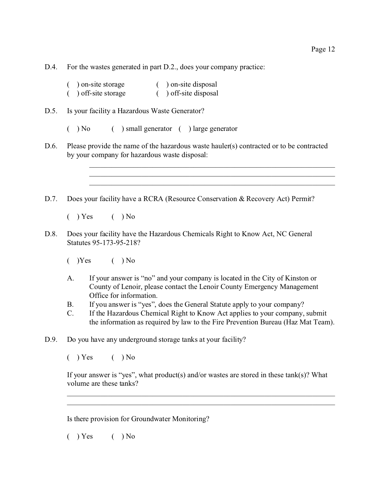D.4. For the wastes generated in part D.2., does your company practice:

| on-site storage  | on-site disposal    |
|------------------|---------------------|
| off-site storage | ) off-site disposal |

D.5. Is your facility a Hazardous Waste Generator?

( ) No ( ) small generator ( ) large generator

D.6. Please provide the name of the hazardous waste hauler(s) contracted or to be contracted by your company for hazardous waste disposal:

> \_\_\_\_\_\_\_\_\_\_\_\_\_\_\_\_\_\_\_\_\_\_\_\_\_\_\_\_\_\_\_\_\_\_\_\_\_\_\_\_\_\_\_\_\_\_\_\_\_\_\_\_\_\_\_\_\_\_\_\_\_\_\_\_\_\_ \_\_\_\_\_\_\_\_\_\_\_\_\_\_\_\_\_\_\_\_\_\_\_\_\_\_\_\_\_\_\_\_\_\_\_\_\_\_\_\_\_\_\_\_\_\_\_\_\_\_\_\_\_\_\_\_\_\_\_\_\_\_\_\_\_\_ \_\_\_\_\_\_\_\_\_\_\_\_\_\_\_\_\_\_\_\_\_\_\_\_\_\_\_\_\_\_\_\_\_\_\_\_\_\_\_\_\_\_\_\_\_\_\_\_\_\_\_\_\_\_\_\_\_\_\_\_\_\_\_\_\_\_

D.7. Does your facility have a RCRA (Resource Conservation & Recovery Act) Permit?

 $( )$  Yes  $( )$  No

- D.8. Does your facility have the Hazardous Chemicals Right to Know Act, NC General Statutes 95-173-95-218?
	- $(Yes$   $(No)$
	- A. If your answer is "no" and your company is located in the City of Kinston or County of Lenoir, please contact the Lenoir County Emergency Management Office for information.
	- B. If you answer is "yes", does the General Statute apply to your company?
	- C. If the Hazardous Chemical Right to Know Act applies to your company, submit the information as required by law to the Fire Prevention Bureau (Haz Mat Team).
- D.9. Do you have any underground storage tanks at your facility?

 $( )$  Yes  $( )$  No

If your answer is "yes", what product(s) and/or wastes are stored in these tank(s)? What volume are these tanks?

\_\_\_\_\_\_\_\_\_\_\_\_\_\_\_\_\_\_\_\_\_\_\_\_\_\_\_\_\_\_\_\_\_\_\_\_\_\_\_\_\_\_\_\_\_\_\_\_\_\_\_\_\_\_\_\_\_\_\_\_\_\_\_\_\_\_\_\_\_\_\_\_ \_\_\_\_\_\_\_\_\_\_\_\_\_\_\_\_\_\_\_\_\_\_\_\_\_\_\_\_\_\_\_\_\_\_\_\_\_\_\_\_\_\_\_\_\_\_\_\_\_\_\_\_\_\_\_\_\_\_\_\_\_\_\_\_\_\_\_\_\_\_\_\_

Is there provision for Groundwater Monitoring?

 $( )$  Yes  $( )$  No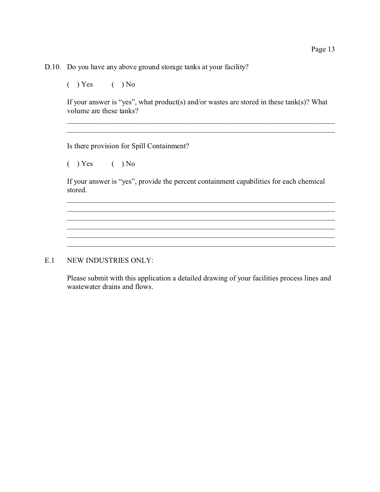D.10. Do you have any above ground storage tanks at your facility?

 $( )$  Yes  $( )$  No

If your answer is "yes", what product(s) and/or wastes are stored in these tank(s)? What volume are these tanks?

\_\_\_\_\_\_\_\_\_\_\_\_\_\_\_\_\_\_\_\_\_\_\_\_\_\_\_\_\_\_\_\_\_\_\_\_\_\_\_\_\_\_\_\_\_\_\_\_\_\_\_\_\_\_\_\_\_\_\_\_\_\_\_\_\_\_\_\_\_\_\_\_ \_\_\_\_\_\_\_\_\_\_\_\_\_\_\_\_\_\_\_\_\_\_\_\_\_\_\_\_\_\_\_\_\_\_\_\_\_\_\_\_\_\_\_\_\_\_\_\_\_\_\_\_\_\_\_\_\_\_\_\_\_\_\_\_\_\_\_\_\_\_\_\_

Is there provision for Spill Containment?

 $( )$  Yes  $( )$  No

If your answer is "yes", provide the percent containment capabilities for each chemical stored.

\_\_\_\_\_\_\_\_\_\_\_\_\_\_\_\_\_\_\_\_\_\_\_\_\_\_\_\_\_\_\_\_\_\_\_\_\_\_\_\_\_\_\_\_\_\_\_\_\_\_\_\_\_\_\_\_\_\_\_\_\_\_\_\_\_\_\_\_\_\_\_\_ \_\_\_\_\_\_\_\_\_\_\_\_\_\_\_\_\_\_\_\_\_\_\_\_\_\_\_\_\_\_\_\_\_\_\_\_\_\_\_\_\_\_\_\_\_\_\_\_\_\_\_\_\_\_\_\_\_\_\_\_\_\_\_\_\_\_\_\_\_\_\_\_ \_\_\_\_\_\_\_\_\_\_\_\_\_\_\_\_\_\_\_\_\_\_\_\_\_\_\_\_\_\_\_\_\_\_\_\_\_\_\_\_\_\_\_\_\_\_\_\_\_\_\_\_\_\_\_\_\_\_\_\_\_\_\_\_\_\_\_\_\_\_\_\_

\_\_\_\_\_\_\_\_\_\_\_\_\_\_\_\_\_\_\_\_\_\_\_\_\_\_\_\_\_\_\_\_\_\_\_\_\_\_\_\_\_\_\_\_\_\_\_\_\_\_\_\_\_\_\_\_\_\_\_\_\_\_\_\_\_\_\_\_\_\_\_\_

### E.1 NEW INDUSTRIES ONLY:

Please submit with this application a detailed drawing of your facilities process lines and wastewater drains and flows.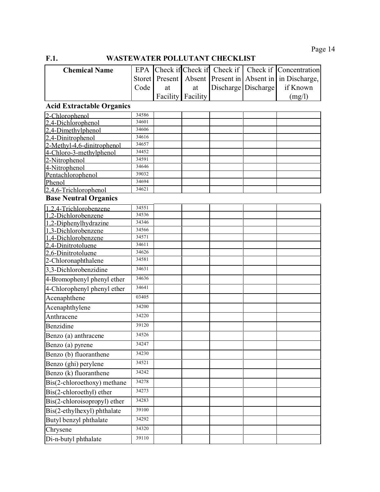## **F.1. WASTEWATER POLLUTANT CHECKLIST**

| <b>Chemical Name</b> |                   |                          |  | EPA Check if Check if Check if Check if Concentration    |
|----------------------|-------------------|--------------------------|--|----------------------------------------------------------|
|                      |                   |                          |  | Storet Present Absent Present in Absent in in Discharge, |
|                      | Code <sub>1</sub> | $at$ $\blacksquare$      |  | at Discharge Discharge if Known                          |
|                      |                   | <b>Facility Facility</b> |  | (mg/l)                                                   |

# **Acid Extractable Organics**

| 2-Chlorophenol               | 34586          |  |  |  |
|------------------------------|----------------|--|--|--|
| 2.4-Dichlorophenol           | 34601          |  |  |  |
| 2,4-Dimethylphenol           | 34606          |  |  |  |
| 2.4-Dinitrophenol            | 34616          |  |  |  |
| 2-Methyl-4,6-dinitrophenol   | 34657          |  |  |  |
| 4-Chloro-3-methylphenol      | 34452          |  |  |  |
| 2-Nitrophenol                | 34591          |  |  |  |
| 4-Nitrophenol                | 34646          |  |  |  |
| Pentachlorophenol            | 39032          |  |  |  |
| Phenol                       | 34694<br>34621 |  |  |  |
| 2,4,6-Trichlorophenol        |                |  |  |  |
| <b>Base Neutral Organics</b> |                |  |  |  |
| 1.2.4-Trichlorobenzene       | 34551          |  |  |  |
| 1.2-Dichlorobenzene          | 34536          |  |  |  |
| 1,2-Diphenylhydrazine        | 34346          |  |  |  |
| 1,3-Dichlorobenzene          | 34566          |  |  |  |
| 1,4-Dichlorobenzene          | 34571          |  |  |  |
| 2,4-Dinitrotoluene           | 34611          |  |  |  |
| 2,6-Dinitrotoluene           | 34626          |  |  |  |
| 2-Chloronaphthalene          | 34581          |  |  |  |
| 3,3-Dichlorobenzidine        | 34631          |  |  |  |
| 4-Bromophenyl phenyl ether   | 34636          |  |  |  |
| 4-Chlorophenyl phenyl ether  | 34641          |  |  |  |
| Acenaphthene                 | 03405          |  |  |  |
| Acenaphthylene               | 34200          |  |  |  |
| Anthracene                   | 34220          |  |  |  |
| Benzidine                    | 39120          |  |  |  |
| Benzo (a) anthracene         | 34526          |  |  |  |
| Benzo (a) pyrene             | 34247          |  |  |  |
| Benzo (b) fluoranthene       | 34230          |  |  |  |
| Benzo (ghi) perylene         | 34521          |  |  |  |
| Benzo (k) fluoranthene       | 34242          |  |  |  |
| Bis(2-chloroethoxy) methane  | 34278          |  |  |  |
| Bis(2-chloroethyl) ether     | 34273          |  |  |  |
| Bis(2-chloroisopropyl) ether | 34283          |  |  |  |
| Bis(2-ethylhexyl) phthalate  | 39100          |  |  |  |
| Butyl benzyl phthalate       | 34292          |  |  |  |
| Chrysene                     | 34320          |  |  |  |
| Di-n-butyl phthalate         | 39110          |  |  |  |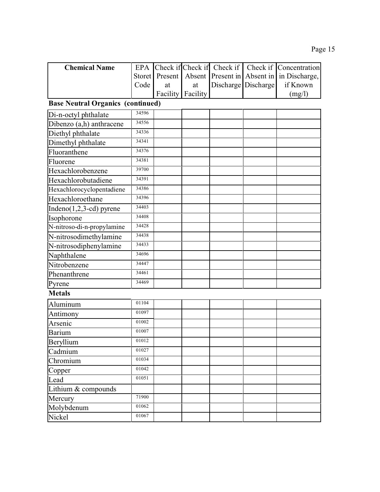| <b>Chemical Name</b>                     |        |          |          |                     | EPA Check if Check if Check if Check if Concentration |
|------------------------------------------|--------|----------|----------|---------------------|-------------------------------------------------------|
|                                          | Storet | Present  |          |                     | Absent Present in Absent in in Discharge,             |
|                                          | Code   | at       | at       | Discharge Discharge | if Known                                              |
|                                          |        | Facility | Facility |                     | (mg/l)                                                |
| <b>Base Neutral Organics (continued)</b> |        |          |          |                     |                                                       |
| Di-n-octyl phthalate                     | 34596  |          |          |                     |                                                       |
| Dibenzo (a,h) anthracene                 | 34556  |          |          |                     |                                                       |
| Diethyl phthalate                        | 34336  |          |          |                     |                                                       |
| Dimethyl phthalate                       | 34341  |          |          |                     |                                                       |
| Fluoranthene                             | 34376  |          |          |                     |                                                       |
| Fluorene                                 | 34381  |          |          |                     |                                                       |
| Hexachlorobenzene                        | 39700  |          |          |                     |                                                       |
| Hexachlorobutadiene                      | 34391  |          |          |                     |                                                       |
| Hexachlorocyclopentadiene                | 34386  |          |          |                     |                                                       |
| Hexachloroethane                         | 34396  |          |          |                     |                                                       |
| Indeno $(1,2,3$ -cd) pyrene              | 34403  |          |          |                     |                                                       |
| Isophorone                               | 34408  |          |          |                     |                                                       |
| N-nitroso-di-n-propylamine               | 34428  |          |          |                     |                                                       |
| N-nitrosodimethylamine                   | 34438  |          |          |                     |                                                       |
| N-nitrosodiphenylamine                   | 34433  |          |          |                     |                                                       |
| Naphthalene                              | 34696  |          |          |                     |                                                       |
| Nitrobenzene                             | 34447  |          |          |                     |                                                       |
| Phenanthrene                             | 34461  |          |          |                     |                                                       |
| Pyrene                                   | 34469  |          |          |                     |                                                       |
| <b>Metals</b>                            |        |          |          |                     |                                                       |
| Aluminum                                 | 01104  |          |          |                     |                                                       |
| Antimony                                 | 01097  |          |          |                     |                                                       |
| Arsenic                                  | 01002  |          |          |                     |                                                       |
| <b>Barium</b>                            | 01007  |          |          |                     |                                                       |
| Beryllium                                | 01012  |          |          |                     |                                                       |
| Cadmium                                  | 01027  |          |          |                     |                                                       |
| Chromium                                 | 01034  |          |          |                     |                                                       |
| Copper                                   | 01042  |          |          |                     |                                                       |
| Lead                                     | 01051  |          |          |                     |                                                       |
| Lithium & compounds                      |        |          |          |                     |                                                       |
| Mercury                                  | 71900  |          |          |                     |                                                       |
| Molybdenum                               | 01062  |          |          |                     |                                                       |
| Nickel                                   | 01067  |          |          |                     |                                                       |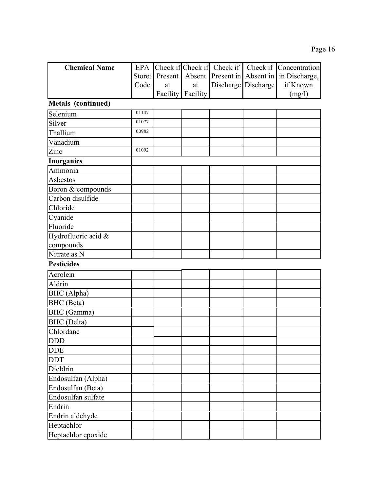| <b>Chemical Name</b> | EPA    |          |          | Check if Check if Check if  |                     | Check if Concentration |
|----------------------|--------|----------|----------|-----------------------------|---------------------|------------------------|
|                      | Storet | Present  |          | Absent Present in Absent in |                     | in Discharge,          |
|                      | Code   | at       | at       |                             | Discharge Discharge | if Known               |
|                      |        | Facility | Facility |                             |                     | (mg/l)                 |
| Metals (continued)   |        |          |          |                             |                     |                        |
| Selenium             | 01147  |          |          |                             |                     |                        |
| Silver               | 01077  |          |          |                             |                     |                        |
| Thallium             | 00982  |          |          |                             |                     |                        |
| Vanadium             |        |          |          |                             |                     |                        |
| Zinc                 | 01092  |          |          |                             |                     |                        |
| <b>Inorganics</b>    |        |          |          |                             |                     |                        |
| Ammonia              |        |          |          |                             |                     |                        |
| Asbestos             |        |          |          |                             |                     |                        |
| Boron & compounds    |        |          |          |                             |                     |                        |
| Carbon disulfide     |        |          |          |                             |                     |                        |
| Chloride             |        |          |          |                             |                     |                        |
| Cyanide              |        |          |          |                             |                     |                        |
| Fluoride             |        |          |          |                             |                     |                        |
| Hydrofluoric acid &  |        |          |          |                             |                     |                        |
| compounds            |        |          |          |                             |                     |                        |
| Nitrate as N         |        |          |          |                             |                     |                        |
| <b>Pesticides</b>    |        |          |          |                             |                     |                        |
| Acrolein             |        |          |          |                             |                     |                        |
| Aldrin               |        |          |          |                             |                     |                        |
| BHC (Alpha)          |        |          |          |                             |                     |                        |
| BHC (Beta)           |        |          |          |                             |                     |                        |
| BHC (Gamma)          |        |          |          |                             |                     |                        |
| <b>BHC</b> (Delta)   |        |          |          |                             |                     |                        |
| Chlordane            |        |          |          |                             |                     |                        |
| DDD                  |        |          |          |                             |                     |                        |
| DDE                  |        |          |          |                             |                     |                        |
| <b>DDT</b>           |        |          |          |                             |                     |                        |
| Dieldrin             |        |          |          |                             |                     |                        |
| Endosulfan (Alpha)   |        |          |          |                             |                     |                        |
| Endosulfan (Beta)    |        |          |          |                             |                     |                        |
| Endosulfan sulfate   |        |          |          |                             |                     |                        |
| Endrin               |        |          |          |                             |                     |                        |
| Endrin aldehyde      |        |          |          |                             |                     |                        |
| Heptachlor           |        |          |          |                             |                     |                        |
| Heptachlor epoxide   |        |          |          |                             |                     |                        |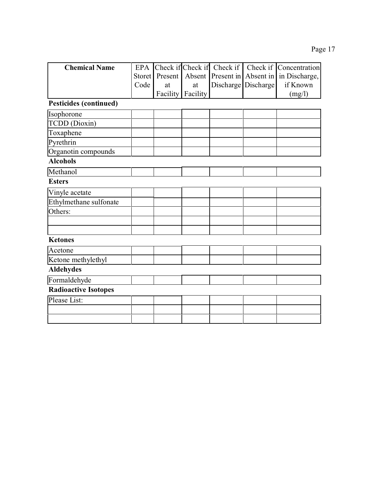| <b>Chemical Name</b>          | <b>EPA</b>    |          |          | Check if Check if Check if |           | Check if Concentration |
|-------------------------------|---------------|----------|----------|----------------------------|-----------|------------------------|
|                               | <b>Storet</b> | Present  | Absent   | Present in                 | Absent in | in Discharge,          |
|                               | Code          | at       | at       | Discharge                  | Discharge | if Known               |
|                               |               | Facility | Facility |                            |           | (mg/l)                 |
| <b>Pesticides (continued)</b> |               |          |          |                            |           |                        |
| Isophorone                    |               |          |          |                            |           |                        |
| <b>TCDD</b> (Dioxin)          |               |          |          |                            |           |                        |
| Toxaphene                     |               |          |          |                            |           |                        |
| Pyrethrin                     |               |          |          |                            |           |                        |
| Organotin compounds           |               |          |          |                            |           |                        |
| <b>Alcohols</b>               |               |          |          |                            |           |                        |
| Methanol                      |               |          |          |                            |           |                        |
| <b>Esters</b>                 |               |          |          |                            |           |                        |
| Vinyle acetate                |               |          |          |                            |           |                        |
| Ethylmethane sulfonate        |               |          |          |                            |           |                        |
| Others:                       |               |          |          |                            |           |                        |
|                               |               |          |          |                            |           |                        |
|                               |               |          |          |                            |           |                        |
| <b>Ketones</b>                |               |          |          |                            |           |                        |
| Acetone                       |               |          |          |                            |           |                        |
| Ketone methylethyl            |               |          |          |                            |           |                        |
| <b>Aldehydes</b>              |               |          |          |                            |           |                        |
| Formaldehyde                  |               |          |          |                            |           |                        |
| <b>Radioactive Isotopes</b>   |               |          |          |                            |           |                        |
| Please List:                  |               |          |          |                            |           |                        |
|                               |               |          |          |                            |           |                        |
|                               |               |          |          |                            |           |                        |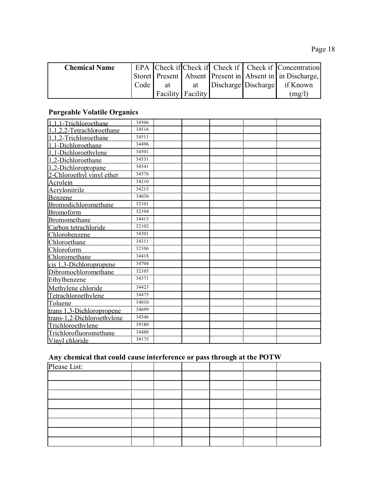| <b>Chemical Name</b> |                   |                   |  | EPA Check if Check if Check if Check if Concentration    |
|----------------------|-------------------|-------------------|--|----------------------------------------------------------|
|                      |                   |                   |  | Storet Present Absent Present in Absent in in Discharge, |
|                      | Code <sub>1</sub> |                   |  | at at Discharge Discharge if Known                       |
|                      |                   | Facility Facility |  | (mg/l)                                                   |

# **Purgeable Volatile Organics**

| 1.1.1-Trichloroethane      | 34506 |  |  |  |
|----------------------------|-------|--|--|--|
| 1,1,2,2-Tetrachloroethane  | 34516 |  |  |  |
| 1,1,2-Trichloroethane      | 34511 |  |  |  |
| 1,1-Dichloroethane         | 34496 |  |  |  |
| 1,1-Dichloroethylene       | 34501 |  |  |  |
| 1,2-Dichloroethane         | 34531 |  |  |  |
| 1,2-Dichloropropane        | 34541 |  |  |  |
| 2-Chloroethyl vinyl ether  | 34576 |  |  |  |
| <b>Acrolein</b>            | 34210 |  |  |  |
| Acrylonitrile              | 34215 |  |  |  |
| Benzene                    | 34030 |  |  |  |
| Bromodichloromethane       | 32101 |  |  |  |
| <b>Bromoform</b>           | 32104 |  |  |  |
| Bromomethane               | 34413 |  |  |  |
| Carbon tetrachloride       | 32102 |  |  |  |
| Chlorobenzene              | 34301 |  |  |  |
| Chloroethane               | 34311 |  |  |  |
| Chloroform                 | 32106 |  |  |  |
| Chloromethane              | 34418 |  |  |  |
| cis 1,3-Dichloropropene    | 34704 |  |  |  |
| Dibromochloromethane       | 32105 |  |  |  |
| Ethylbenzene               | 34371 |  |  |  |
| Methylene chloride         | 34423 |  |  |  |
| Tetrachloroethylene        | 34475 |  |  |  |
| Toluene                    | 34010 |  |  |  |
| trans 1,3-Dichloropropene  | 34699 |  |  |  |
| trans-1,2-Dichloroethylene | 34546 |  |  |  |
| Trichloroethylene          | 39180 |  |  |  |
| Trichlorofluoromethane     | 34488 |  |  |  |
| Vinyl chloride             | 39175 |  |  |  |

# **Any chemical that could cause interference or pass through at the POTW**

| $\sim$       |  | $\overline{\phantom{a}}$ | $\tilde{\phantom{a}}$ |  |
|--------------|--|--------------------------|-----------------------|--|
| Please List: |  |                          |                       |  |
|              |  |                          |                       |  |
|              |  |                          |                       |  |
|              |  |                          |                       |  |
|              |  |                          |                       |  |
|              |  |                          |                       |  |
|              |  |                          |                       |  |
|              |  |                          |                       |  |
|              |  |                          |                       |  |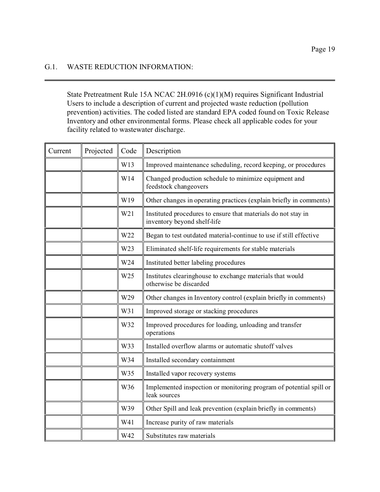### G.1. WASTE REDUCTION INFORMATION:

State Pretreatment Rule 15A NCAC 2H.0916 (c)(1)(M) requires Significant Industrial Users to include a description of current and projected waste reduction (pollution prevention) activities. The coded listed are standard EPA coded found on Toxic Release Inventory and other environmental forms. Please check all applicable codes for your facility related to wastewater discharge.

| Current | Projected | Code            | Description                                                                                  |
|---------|-----------|-----------------|----------------------------------------------------------------------------------------------|
|         |           | W13             | Improved maintenance scheduling, record keeping, or procedures                               |
|         |           | W14             | Changed production schedule to minimize equipment and<br>feedstock changeovers               |
|         |           | W19             | Other changes in operating practices (explain briefly in comments)                           |
|         |           | W <sub>21</sub> | Instituted procedures to ensure that materials do not stay in<br>inventory beyond shelf-life |
|         |           | W <sub>22</sub> | Began to test outdated material-continue to use if still effective                           |
|         |           | W <sub>23</sub> | Eliminated shelf-life requirements for stable materials                                      |
|         |           | W24             | Instituted better labeling procedures                                                        |
|         |           | W <sub>25</sub> | Institutes clearinghouse to exchange materials that would<br>otherwise be discarded          |
|         |           | W29             | Other changes in Inventory control (explain briefly in comments)                             |
|         |           | W31             | Improved storage or stacking procedures                                                      |
|         |           | W32             | Improved procedures for loading, unloading and transfer<br>operations                        |
|         |           | W33             | Installed overflow alarms or automatic shutoff valves                                        |
|         |           | W34             | Installed secondary containment                                                              |
|         |           | W35             | Installed vapor recovery systems                                                             |
|         |           | W36             | Implemented inspection or monitoring program of potential spill or<br>leak sources           |
|         |           | W39             | Other Spill and leak prevention (explain briefly in comments)                                |
|         |           | W41             | Increase purity of raw materials                                                             |
|         |           | W42             | Substitutes raw materials                                                                    |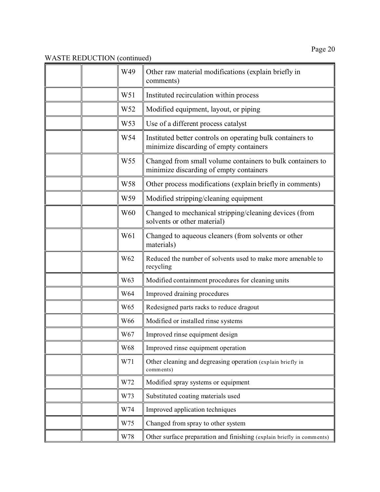|  | W49             | Other raw material modifications (explain briefly in<br>comments)                                     |
|--|-----------------|-------------------------------------------------------------------------------------------------------|
|  | W51             | Instituted recirculation within process                                                               |
|  | W52             | Modified equipment, layout, or piping                                                                 |
|  | W53             | Use of a different process catalyst                                                                   |
|  | W54             | Instituted better controls on operating bulk containers to<br>minimize discarding of empty containers |
|  | W <sub>55</sub> | Changed from small volume containers to bulk containers to<br>minimize discarding of empty containers |
|  | W58             | Other process modifications (explain briefly in comments)                                             |
|  | W59             | Modified stripping/cleaning equipment                                                                 |
|  | W60             | Changed to mechanical stripping/cleaning devices (from<br>solvents or other material)                 |
|  | W61             | Changed to aqueous cleaners (from solvents or other<br>materials)                                     |
|  | W62             | Reduced the number of solvents used to make more amenable to<br>recycling                             |
|  | W63             | Modified containment procedures for cleaning units                                                    |
|  | W64             | Improved draining procedures                                                                          |
|  | W <sub>65</sub> | Redesigned parts racks to reduce dragout                                                              |
|  | W66             | Modified or installed rinse systems                                                                   |
|  | W67             | Improved rinse equipment design                                                                       |
|  | W68             | Improved rinse equipment operation                                                                    |
|  | W71             | Other cleaning and degreasing operation (explain briefly in<br>comments)                              |
|  | W72             | Modified spray systems or equipment                                                                   |
|  | W73             | Substituted coating materials used                                                                    |
|  | W74             | Improved application techniques                                                                       |
|  | W75             | Changed from spray to other system                                                                    |
|  | W78             | Other surface preparation and finishing (explain briefly in comments)                                 |